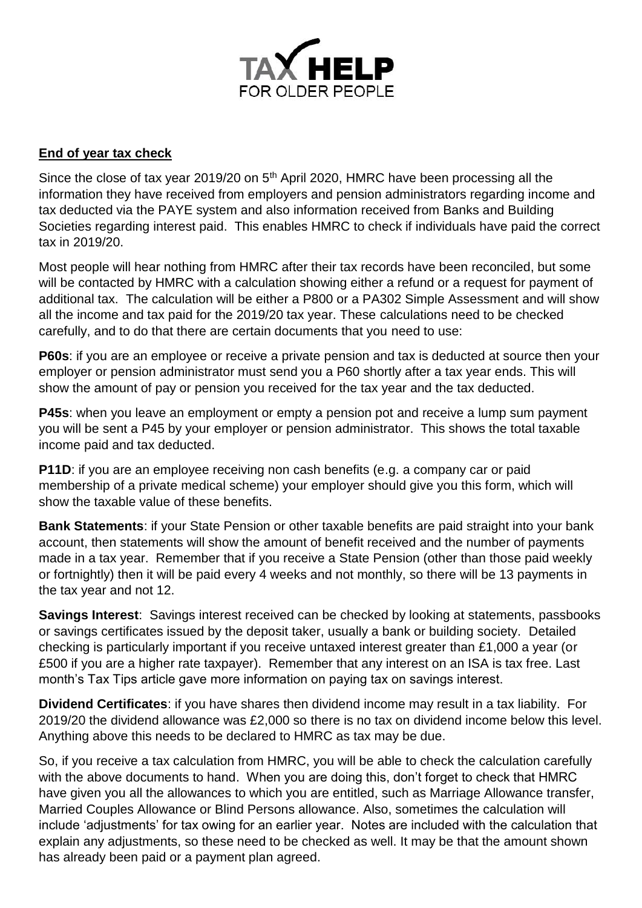

## **End of year tax check**

Since the close of tax year 2019/20 on 5<sup>th</sup> April 2020, HMRC have been processing all the information they have received from employers and pension administrators regarding income and tax deducted via the PAYE system and also information received from Banks and Building Societies regarding interest paid. This enables HMRC to check if individuals have paid the correct tax in 2019/20.

Most people will hear nothing from HMRC after their tax records have been reconciled, but some will be contacted by HMRC with a calculation showing either a refund or a request for payment of additional tax. The calculation will be either a P800 or a PA302 Simple Assessment and will show all the income and tax paid for the 2019/20 tax year. These calculations need to be checked carefully, and to do that there are certain documents that you need to use:

**P60s**: if you are an employee or receive a private pension and tax is deducted at source then your employer or pension administrator must send you a P60 shortly after a tax year ends. This will show the amount of pay or pension you received for the tax year and the tax deducted.

**P45s**: when you leave an employment or empty a pension pot and receive a lump sum payment you will be sent a P45 by your employer or pension administrator. This shows the total taxable income paid and tax deducted.

**P11D:** if you are an employee receiving non cash benefits (e.g. a company car or paid membership of a private medical scheme) your employer should give you this form, which will show the taxable value of these benefits.

**Bank Statements**: if your State Pension or other taxable benefits are paid straight into your bank account, then statements will show the amount of benefit received and the number of payments made in a tax year. Remember that if you receive a State Pension (other than those paid weekly or fortnightly) then it will be paid every 4 weeks and not monthly, so there will be 13 payments in the tax year and not 12.

**Savings Interest**: Savings interest received can be checked by looking at statements, passbooks or savings certificates issued by the deposit taker, usually a bank or building society. Detailed checking is particularly important if you receive untaxed interest greater than £1,000 a year (or £500 if you are a higher rate taxpayer). Remember that any interest on an ISA is tax free. Last month's Tax Tips article gave more information on paying tax on savings interest.

**Dividend Certificates**: if you have shares then dividend income may result in a tax liability. For 2019/20 the dividend allowance was £2,000 so there is no tax on dividend income below this level. Anything above this needs to be declared to HMRC as tax may be due.

So, if you receive a tax calculation from HMRC, you will be able to check the calculation carefully with the above documents to hand. When you are doing this, don't forget to check that HMRC have given you all the allowances to which you are entitled, such as Marriage Allowance transfer, Married Couples Allowance or Blind Persons allowance. Also, sometimes the calculation will include 'adjustments' for tax owing for an earlier year. Notes are included with the calculation that explain any adjustments, so these need to be checked as well. It may be that the amount shown has already been paid or a payment plan agreed.